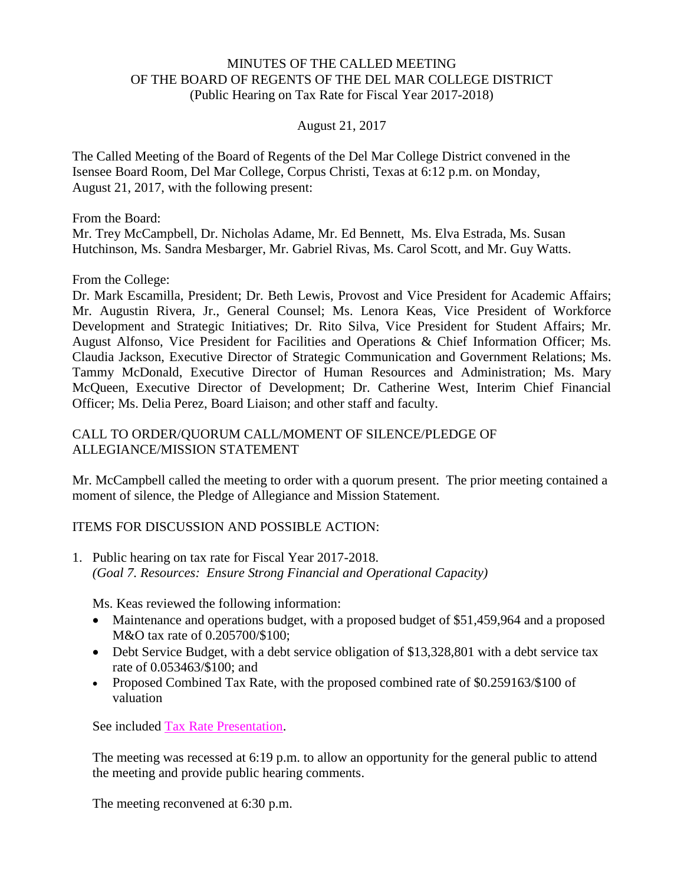## MINUTES OF THE CALLED MEETING OF THE BOARD OF REGENTS OF THE DEL MAR COLLEGE DISTRICT (Public Hearing on Tax Rate for Fiscal Year 2017-2018)

## August 21, 2017

The Called Meeting of the Board of Regents of the Del Mar College District convened in the Isensee Board Room, Del Mar College, Corpus Christi, Texas at 6:12 p.m. on Monday, August 21, 2017, with the following present:

From the Board: Mr. Trey McCampbell, Dr. Nicholas Adame, Mr. Ed Bennett, Ms. Elva Estrada, Ms. Susan Hutchinson, Ms. Sandra Mesbarger, Mr. Gabriel Rivas, Ms. Carol Scott, and Mr. Guy Watts.

From the College:

Dr. Mark Escamilla, President; Dr. Beth Lewis, Provost and Vice President for Academic Affairs; Mr. Augustin Rivera, Jr., General Counsel; Ms. Lenora Keas, Vice President of Workforce Development and Strategic Initiatives; Dr. Rito Silva, Vice President for Student Affairs; Mr. August Alfonso, Vice President for Facilities and Operations & Chief Information Officer; Ms. Claudia Jackson, Executive Director of Strategic Communication and Government Relations; Ms. Tammy McDonald, Executive Director of Human Resources and Administration; Ms. Mary McQueen, Executive Director of Development; Dr. Catherine West, Interim Chief Financial Officer; Ms. Delia Perez, Board Liaison; and other staff and faculty.

## CALL TO ORDER/QUORUM CALL/MOMENT OF SILENCE/PLEDGE OF ALLEGIANCE/MISSION STATEMENT

Mr. McCampbell called the meeting to order with a quorum present. The prior meeting contained a moment of silence, the Pledge of Allegiance and Mission Statement.

## ITEMS FOR DISCUSSION AND POSSIBLE ACTION:

1. Public hearing on tax rate for Fiscal Year 2017-2018. *(Goal 7. Resources: Ensure Strong Financial and Operational Capacity)*

Ms. Keas reviewed the following information:

- Maintenance and operations budget, with a proposed budget of \$51,459,964 and a proposed M&O tax rate of 0.205700/\$100;
- Debt Service Budget, with a debt service obligation of \$13,328,801 with a debt service tax rate of 0.053463/\$100; and
- Proposed Combined Tax Rate, with the proposed combined rate of \$0.259163/\$100 of valuation

See included Tax Rate [Presentation.](http://www.delmar.edu/WorkArea/DownloadAsset.aspx?id=2147486058)

The meeting was recessed at 6:19 p.m. to allow an opportunity for the general public to attend the meeting and provide public hearing comments.

The meeting reconvened at 6:30 p.m.